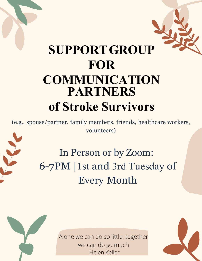## **SUPPORTGROUP FOR COMMUNICATION PARTNERS of Stroke Survivors**

(e.g., spouse/partner, family members, friends, healthcare workers, volunteers)

> In Person or by Zoom: 6-7PM |1st and 3rd Tuesday of Every Month

> > Alone we can do so little, together we can do so much -Helen Keller

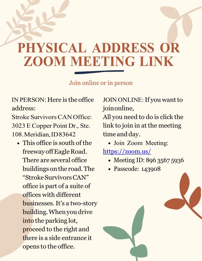## **PHYSICAL ADDRESS OR ZOOM MEETING LINK**

Join online or in person

IN PERSON: Here is the office address:

Stroke Survivors CAN Office: 3023 E Copper Point Dr., Ste. 108. Meridian, ID 83642

This office is south of the freeway offEagle Road. There are several office buildingson the road. The "Stroke Survivors CAN" office is part of a suite of offices with different businesses. It's a two-story building. When you drive into the parking lot, proceed to the right and there is a side entrance it opens to the office.

JOIN ONLINE: If you want to joinonline,

All you need to do is click the link to join in at the meeting time and day.

Join Zoom Meeting:

<https://zoom.us/>

- Meeting ID: 896 3567 5936
- Passcode: 143908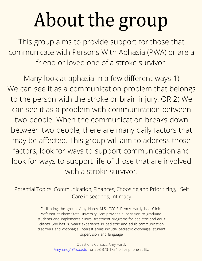## About the group

This group aims to provide support for those that communicate with Persons With Aphasia (PWA) or are a friend or loved one of a stroke survivor.

Many look at aphasia in a few different ways 1) We can see it as a communication problem that belongs to the person with the stroke or brain injury, OR 2) We can see it as a problem with communication between two people. When the communication breaks down between two people, there are many daily factors that may be affected. This group will aim to address those factors, look for ways to support communication and look for ways to support life of those that are involved with a stroke survivor.

Potential Topics: Communication, Finances, Choosing and Prioritizing, Self Care in seconds, Intimacy

> Facilitating the group: Amy Hardy M.S. CCC-SLP Amy Hardy is a Clinical Professor at Idaho State University. She provides supervision to graduate students and implements clinical treatment programs for pediatric and adult clients. She has 28 years' experience in pediatric and adult communication disorders and dysphagia. Interest areas include, pediatric dysphagia, student supervision and language